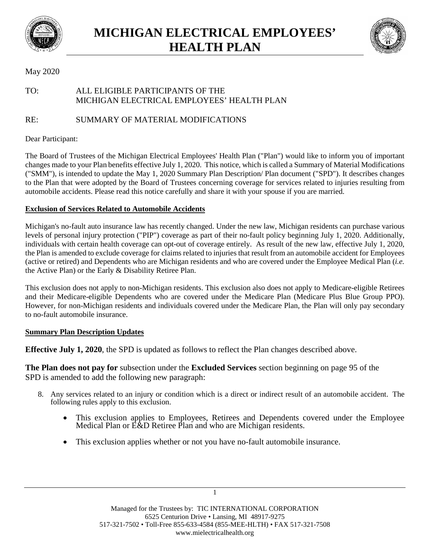



### May 2020

# TO: ALL ELIGIBLE PARTICIPANTS OF THE MICHIGAN ELECTRICAL EMPLOYEES' HEALTH PLAN

RE: SUMMARY OF MATERIAL MODIFICATIONS

### Dear Participant:

The Board of Trustees of the Michigan Electrical Employees' Health Plan ("Plan") would like to inform you of important changes made to your Plan benefits effective July 1, 2020. This notice, which is called a Summary of Material Modifications ("SMM"), is intended to update the May 1, 2020 Summary Plan Description/ Plan document ("SPD"). It describes changes to the Plan that were adopted by the Board of Trustees concerning coverage for services related to injuries resulting from automobile accidents. Please read this notice carefully and share it with your spouse if you are married.

#### **Exclusion of Services Related to Automobile Accidents**

Michigan's no-fault auto insurance law has recently changed. Under the new law, Michigan residents can purchase various levels of personal injury protection ("PIP") coverage as part of their no-fault policy beginning July 1, 2020. Additionally, individuals with certain health coverage can opt-out of coverage entirely. As result of the new law, effective July 1, 2020, the Plan is amended to exclude coverage for claims related to injuries that result from an automobile accident for Employees (active or retired) and Dependents who are Michigan residents and who are covered under the Employee Medical Plan (*i.e.*  the Active Plan) or the Early & Disability Retiree Plan.

This exclusion does not apply to non-Michigan residents. This exclusion also does not apply to Medicare-eligible Retirees and their Medicare-eligible Dependents who are covered under the Medicare Plan (Medicare Plus Blue Group PPO). However, for non-Michigan residents and individuals covered under the Medicare Plan, the Plan will only pay secondary to no-fault automobile insurance.

## **Summary Plan Description Updates**

**Effective July 1, 2020**, the SPD is updated as follows to reflect the Plan changes described above.

**The Plan does not pay for** subsection under the **Excluded Services** section beginning on page 95 of the SPD is amended to add the following new paragraph:

- 8. Any services related to an injury or condition which is a direct or indirect result of an automobile accident. The following rules apply to this exclusion.
	- This exclusion applies to Employees, Retirees and Dependents covered under the Employee Medical Plan or E&D Retiree Plan and who are Michigan residents.
	- This exclusion applies whether or not you have no-fault automobile insurance.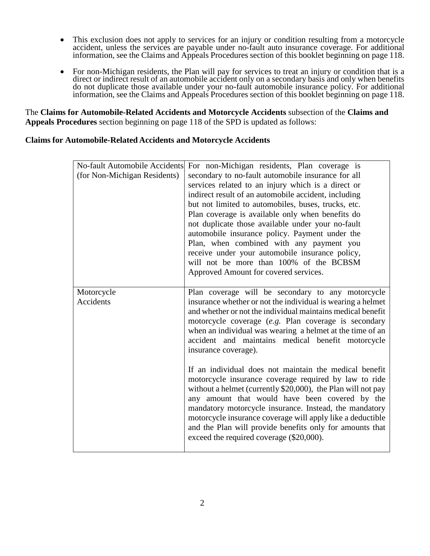- This exclusion does not apply to services for an injury or condition resulting from a motorcycle accident, unless the services are payable under no-fault auto insurance coverage. For additional information, see the Claims and Appeals Procedures section of this booklet beginning on page 118.
- For non-Michigan residents, the Plan will pay for services to treat an injury or condition that is a direct or indirect result of an automobile accident only on a secondary basis and only when benefits do not duplicate those available under your no-fault automobile insurance policy. For additional information, see the Claims and Appeals Procedures section of this booklet beginning on page 118.

The **Claims for Automobile-Related Accidents and Motorcycle Accidents** subsection of the **Claims and Appeals Procedures** section beginning on page 118 of the SPD is updated as follows:

#### **Claims for Automobile-Related Accidents and Motorcycle Accidents**

| For non-Michigan residents, Plan coverage is<br>secondary to no-fault automobile insurance for all<br>services related to an injury which is a direct or<br>indirect result of an automobile accident, including<br>but not limited to automobiles, buses, trucks, etc.<br>Plan coverage is available only when benefits do<br>not duplicate those available under your no-fault<br>automobile insurance policy. Payment under the<br>Plan, when combined with any payment you<br>receive under your automobile insurance policy,<br>will not be more than 100% of the BCBSM<br>Approved Amount for covered services. |
|-----------------------------------------------------------------------------------------------------------------------------------------------------------------------------------------------------------------------------------------------------------------------------------------------------------------------------------------------------------------------------------------------------------------------------------------------------------------------------------------------------------------------------------------------------------------------------------------------------------------------|
| Plan coverage will be secondary to any motorcycle                                                                                                                                                                                                                                                                                                                                                                                                                                                                                                                                                                     |
| insurance whether or not the individual is wearing a helmet<br>and whether or not the individual maintains medical benefit<br>motorcycle coverage (e.g. Plan coverage is secondary<br>when an individual was wearing a helmet at the time of an<br>accident and maintains medical benefit motorcycle<br>insurance coverage).                                                                                                                                                                                                                                                                                          |
| If an individual does not maintain the medical benefit<br>motorcycle insurance coverage required by law to ride<br>without a helmet (currently \$20,000), the Plan will not pay<br>any amount that would have been covered by the<br>mandatory motorcycle insurance. Instead, the mandatory<br>motorcycle insurance coverage will apply like a deductible<br>and the Plan will provide benefits only for amounts that<br>exceed the required coverage (\$20,000).                                                                                                                                                     |
| No-fault Automobile Accidents                                                                                                                                                                                                                                                                                                                                                                                                                                                                                                                                                                                         |